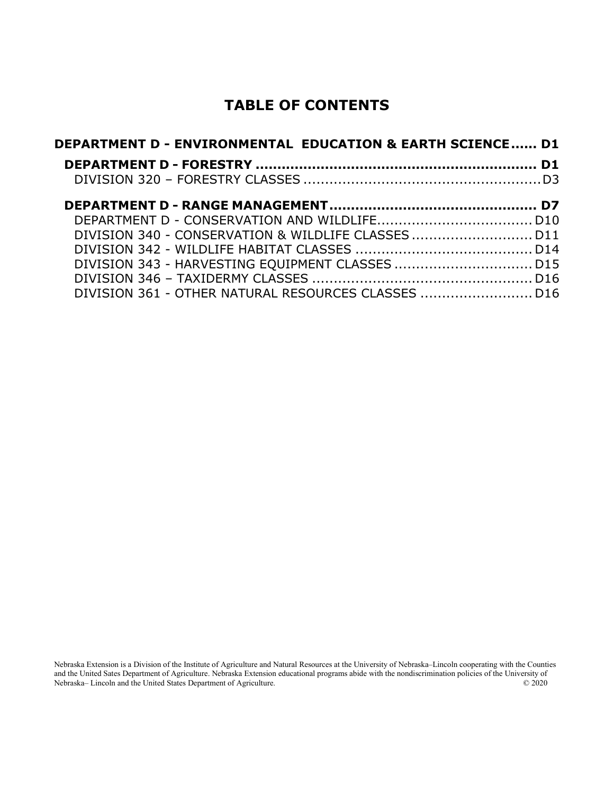## **TABLE OF CONTENTS**

| DEPARTMENT D - ENVIRONMENTAL  EDUCATION & EARTH SCIENCE D1 |  |
|------------------------------------------------------------|--|
|                                                            |  |
|                                                            |  |
|                                                            |  |
|                                                            |  |
|                                                            |  |
|                                                            |  |
|                                                            |  |
|                                                            |  |
| DIVISION 361 - OTHER NATURAL RESOURCES CLASSES  D16        |  |

Nebraska Extension is a Division of the Institute of Agriculture and Natural Resources at the University of Nebraska–Lincoln cooperating with the Counties and the United Sates Department of Agriculture. Nebraska Extension educational programs abide with the nondiscrimination policies of the University of Nebraska– Lincoln and the United States Department of Agriculture. © 2020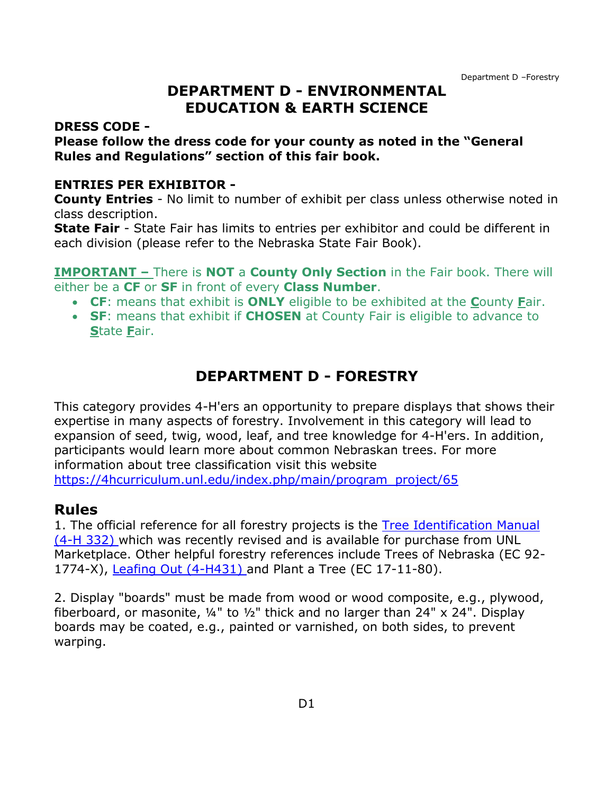### <span id="page-1-0"></span>**DEPARTMENT D - ENVIRONMENTAL EDUCATION & EARTH SCIENCE**

#### **DRESS CODE -**

#### **Please follow the dress code for your county as noted in the "General Rules and Regulations" section of this fair book.**

#### **ENTRIES PER EXHIBITOR -**

**County Entries** - No limit to number of exhibit per class unless otherwise noted in class description.

**State Fair** - State Fair has limits to entries per exhibitor and could be different in each division (please refer to the Nebraska State Fair Book).

**IMPORTANT –** There is **NOT** a **County Only Section** in the Fair book. There will either be a **CF** or **SF** in front of every **Class Number**.

- **CF**: means that exhibit is **ONLY** eligible to be exhibited at the **C**ounty **F**air.
- **SF**: means that exhibit if **CHOSEN** at County Fair is eligible to advance to **S**tate **F**air.

## **DEPARTMENT D - FORESTRY**

<span id="page-1-1"></span>This category provides 4-H'ers an opportunity to prepare displays that shows their expertise in many aspects of forestry. Involvement in this category will lead to expansion of seed, twig, wood, leaf, and tree knowledge for 4-H'ers. In addition, participants would learn more about common Nebraskan trees. For more information about tree classification visit this website [https://4hcurriculum.unl.edu/index.php/main/program\\_project/65](https://4hcurriculum.unl.edu/index.php/main/program_project/65)

#### **Rules**

1. The official reference for all forestry projects is the [Tree Identification Manual](http://marketplace.unl.edu/ne4h/tree-identifcation-manual-691.html)  [\(4-H 332\)](http://marketplace.unl.edu/ne4h/tree-identifcation-manual-691.html) which was recently revised and is available for purchase from UNL Marketplace. Other helpful forestry references include Trees of Nebraska (EC 92- 1774-X), [Leafing Out \(4-H431\)](http://marketplace.unl.edu/ne4h/leafing-out.html) and Plant a Tree (EC 17-11-80).

2. Display "boards" must be made from wood or wood composite, e.g., plywood, fiberboard, or masonite,  $\frac{1}{4}$ " to  $\frac{1}{2}$ " thick and no larger than 24" x 24". Display boards may be coated, e.g., painted or varnished, on both sides, to prevent warping.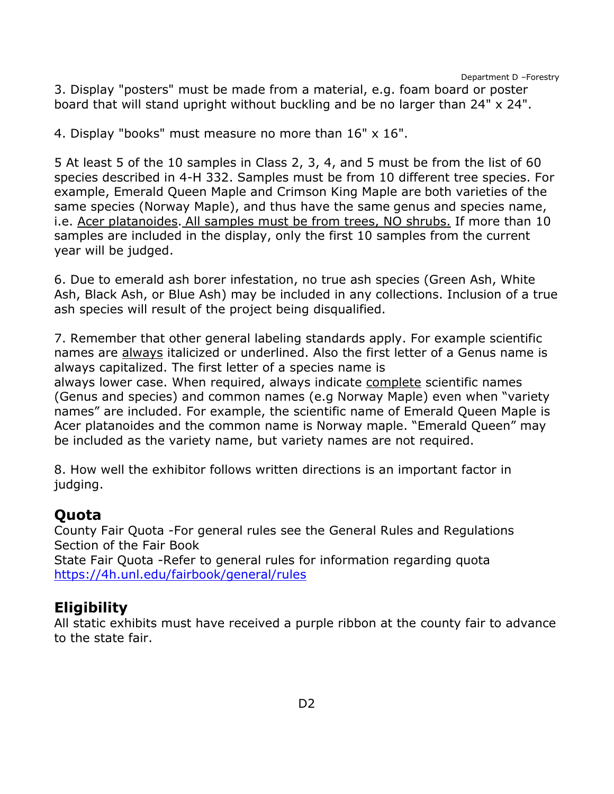3. Display "posters" must be made from a material, e.g. foam board or poster board that will stand upright without buckling and be no larger than 24" x 24".

4. Display "books" must measure no more than 16" x 16".

5 At least 5 of the 10 samples in Class 2, 3, 4, and 5 must be from the list of 60 species described in 4-H 332. Samples must be from 10 different tree species. For example, Emerald Queen Maple and Crimson King Maple are both varieties of the same species (Norway Maple), and thus have the same genus and species name, i.e. Acer platanoides. All samples must be from trees, NO shrubs. If more than 10 samples are included in the display, only the first 10 samples from the current year will be judged.

6. Due to emerald ash borer infestation, no true ash species (Green Ash, White Ash, Black Ash, or Blue Ash) may be included in any collections. Inclusion of a true ash species will result of the project being disqualified.

7. Remember that other general labeling standards apply. For example scientific names are always italicized or underlined. Also the first letter of a Genus name is always capitalized. The first letter of a species name is always lower case. When required, always indicate complete scientific names (Genus and species) and common names (e.g Norway Maple) even when "variety names" are included. For example, the scientific name of Emerald Queen Maple is Acer platanoides and the common name is Norway maple. "Emerald Queen" may be included as the variety name, but variety names are not required.

8. How well the exhibitor follows written directions is an important factor in judging.

#### **Quota**

County Fair Quota -For general rules see the General Rules and Regulations Section of the Fair Book State Fair Quota -Refer to general rules for information regarding quota <https://4h.unl.edu/fairbook/general/rules>

## **Eligibility**

All static exhibits must have received a purple ribbon at the county fair to advance to the state fair.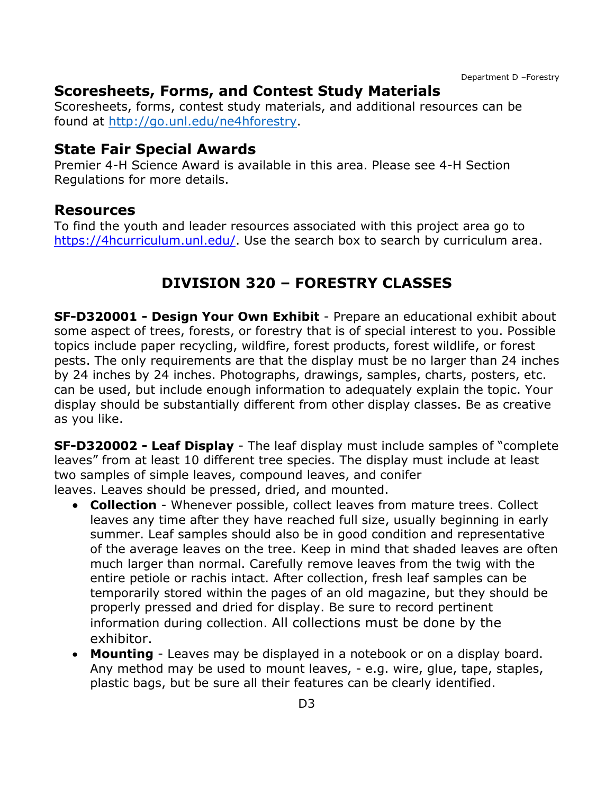#### **Scoresheets, Forms, and Contest Study Materials**

Scoresheets, forms, contest study materials, and additional resources can be found at [http://go.unl.edu/ne4hforestry.](http://go.unl.edu/ne4hforestry)

#### **State Fair Special Awards**

Premier 4-H Science Award is available in this area. Please see 4-H Section Regulations for more details.

#### **Resources**

<span id="page-3-0"></span>To find the youth and leader resources associated with this project area go to [https://4hcurriculum.unl.edu/.](https://4hcurriculum.unl.edu/) Use the search box to search by curriculum area.

## **DIVISION 320 – FORESTRY CLASSES**

**SF-D320001 - Design Your Own Exhibit** - Prepare an educational exhibit about some aspect of trees, forests, or forestry that is of special interest to you. Possible topics include paper recycling, wildfire, forest products, forest wildlife, or forest pests. The only requirements are that the display must be no larger than 24 inches by 24 inches by 24 inches. Photographs, drawings, samples, charts, posters, etc. can be used, but include enough information to adequately explain the topic. Your display should be substantially different from other display classes. Be as creative as you like.

**SF-D320002 - Leaf Display** - The leaf display must include samples of "complete leaves" from at least 10 different tree species. The display must include at least two samples of simple leaves, compound leaves, and conifer leaves. Leaves should be pressed, dried, and mounted.

- **Collection** Whenever possible, collect leaves from mature trees. Collect leaves any time after they have reached full size, usually beginning in early summer. Leaf samples should also be in good condition and representative of the average leaves on the tree. Keep in mind that shaded leaves are often much larger than normal. Carefully remove leaves from the twig with the entire petiole or rachis intact. After collection, fresh leaf samples can be temporarily stored within the pages of an old magazine, but they should be properly pressed and dried for display. Be sure to record pertinent information during collection. All collections must be done by the exhibitor.
- **Mounting** Leaves may be displayed in a notebook or on a display board. Any method may be used to mount leaves, - e.g. wire, glue, tape, staples, plastic bags, but be sure all their features can be clearly identified.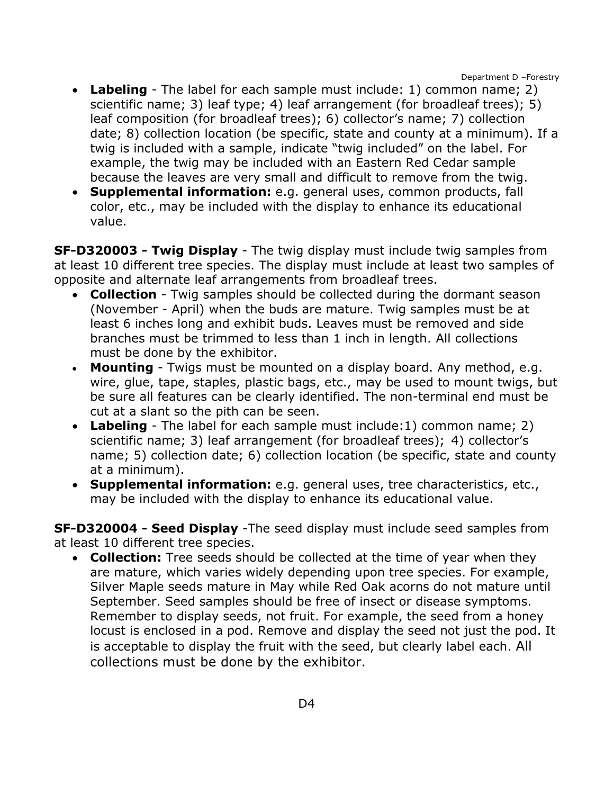- **Labeling** The label for each sample must include: 1) common name; 2) scientific name; 3) leaf type; 4) leaf arrangement (for broadleaf trees); 5) leaf composition (for broadleaf trees); 6) collector's name; 7) collection date; 8) collection location (be specific, state and county at a minimum). If a twig is included with a sample, indicate "twig included" on the label. For example, the twig may be included with an Eastern Red Cedar sample because the leaves are very small and difficult to remove from the twig.
- **Supplemental information:** e.g. general uses, common products, fall color, etc., may be included with the display to enhance its educational value.

**SF-D320003 - Twig Display** - The twig display must include twig samples from at least 10 different tree species. The display must include at least two samples of opposite and alternate leaf arrangements from broadleaf trees.

- **Collection** Twig samples should be collected during the dormant season (November - April) when the buds are mature. Twig samples must be at least 6 inches long and exhibit buds. Leaves must be removed and side branches must be trimmed to less than 1 inch in length. All collections must be done by the exhibitor.
- **Mounting**  Twigs must be mounted on a display board. Any method, e.g. wire, glue, tape, staples, plastic bags, etc., may be used to mount twigs, but be sure all features can be clearly identified. The non-terminal end must be cut at a slant so the pith can be seen.
- **Labeling** The label for each sample must include:1) common name; 2) scientific name; 3) leaf arrangement (for broadleaf trees); 4) collector's name; 5) collection date; 6) collection location (be specific, state and county at a minimum).
- **Supplemental information:** e.g. general uses, tree characteristics, etc., may be included with the display to enhance its educational value.

**SF-D320004 - Seed Display** -The seed display must include seed samples from at least 10 different tree species.

• **Collection:** Tree seeds should be collected at the time of year when they are mature, which varies widely depending upon tree species. For example, Silver Maple seeds mature in May while Red Oak acorns do not mature until September. Seed samples should be free of insect or disease symptoms. Remember to display seeds, not fruit. For example, the seed from a honey locust is enclosed in a pod. Remove and display the seed not just the pod. It is acceptable to display the fruit with the seed, but clearly label each. All collections must be done by the exhibitor.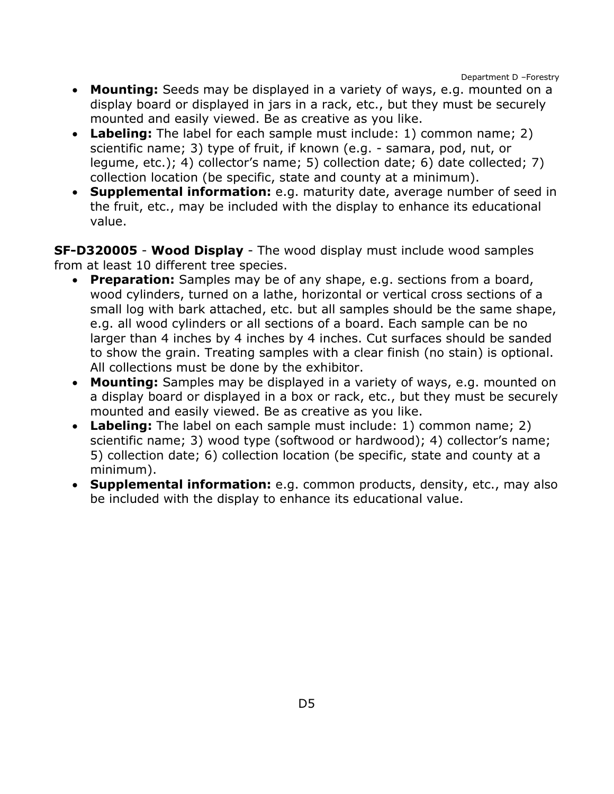- **Mounting:** Seeds may be displayed in a variety of ways, e.g. mounted on a display board or displayed in jars in a rack, etc., but they must be securely mounted and easily viewed. Be as creative as you like.
- **Labeling:** The label for each sample must include: 1) common name; 2) scientific name; 3) type of fruit, if known (e.g. - samara, pod, nut, or legume, etc.); 4) collector's name; 5) collection date; 6) date collected; 7) collection location (be specific, state and county at a minimum).
- **Supplemental information:** e.g. maturity date, average number of seed in the fruit, etc., may be included with the display to enhance its educational value.

**SF-D320005** - **Wood Display** - The wood display must include wood samples from at least 10 different tree species.

- **Preparation:** Samples may be of any shape, e.g. sections from a board, wood cylinders, turned on a lathe, horizontal or vertical cross sections of a small log with bark attached, etc. but all samples should be the same shape, e.g. all wood cylinders or all sections of a board. Each sample can be no larger than 4 inches by 4 inches by 4 inches. Cut surfaces should be sanded to show the grain. Treating samples with a clear finish (no stain) is optional. All collections must be done by the exhibitor.
- **Mounting:** Samples may be displayed in a variety of ways, e.g. mounted on a display board or displayed in a box or rack, etc., but they must be securely mounted and easily viewed. Be as creative as you like.
- **Labeling:** The label on each sample must include: 1) common name; 2) scientific name; 3) wood type (softwood or hardwood); 4) collector's name; 5) collection date; 6) collection location (be specific, state and county at a minimum).
- **Supplemental information:** e.g. common products, density, etc., may also be included with the display to enhance its educational value.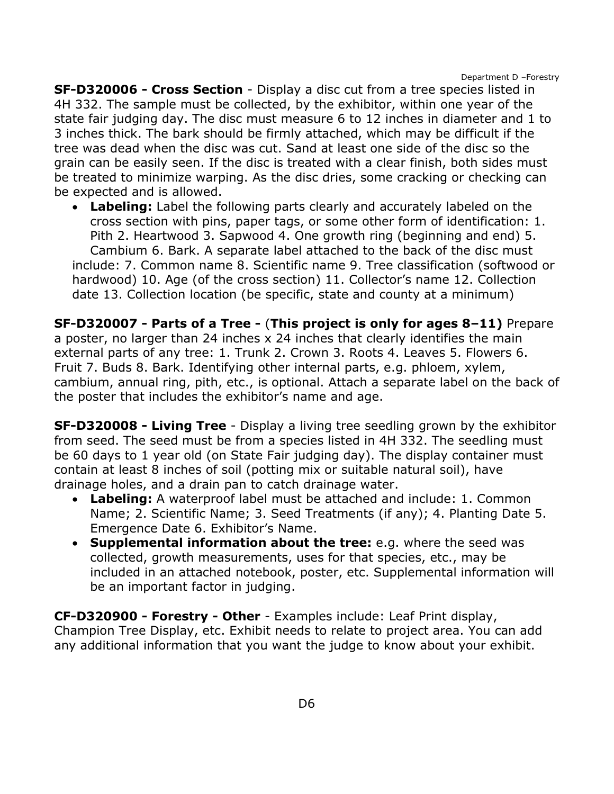Department D –Forestry

**SF-D320006 - Cross Section** - Display a disc cut from a tree species listed in 4H 332. The sample must be collected, by the exhibitor, within one year of the state fair judging day. The disc must measure 6 to 12 inches in diameter and 1 to 3 inches thick. The bark should be firmly attached, which may be difficult if the tree was dead when the disc was cut. Sand at least one side of the disc so the grain can be easily seen. If the disc is treated with a clear finish, both sides must be treated to minimize warping. As the disc dries, some cracking or checking can be expected and is allowed.

• **Labeling:** Label the following parts clearly and accurately labeled on the cross section with pins, paper tags, or some other form of identification: 1. Pith 2. Heartwood 3. Sapwood 4. One growth ring (beginning and end) 5. Cambium 6. Bark. A separate label attached to the back of the disc must include: 7. Common name 8. Scientific name 9. Tree classification (softwood or hardwood) 10. Age (of the cross section) 11. Collector's name 12. Collection date 13. Collection location (be specific, state and county at a minimum)

**SF-D320007 - Parts of a Tree -** (**This project is only for ages 8–11)** Prepare a poster, no larger than 24 inches x 24 inches that clearly identifies the main external parts of any tree: 1. Trunk 2. Crown 3. Roots 4. Leaves 5. Flowers 6. Fruit 7. Buds 8. Bark. Identifying other internal parts, e.g. phloem, xylem, cambium, annual ring, pith, etc., is optional. Attach a separate label on the back of the poster that includes the exhibitor's name and age.

**SF-D320008 - Living Tree** - Display a living tree seedling grown by the exhibitor from seed. The seed must be from a species listed in 4H 332. The seedling must be 60 days to 1 year old (on State Fair judging day). The display container must contain at least 8 inches of soil (potting mix or suitable natural soil), have drainage holes, and a drain pan to catch drainage water.

- **Labeling:** A waterproof label must be attached and include: 1. Common Name; 2. Scientific Name; 3. Seed Treatments (if any); 4. Planting Date 5. Emergence Date 6. Exhibitor's Name.
- **Supplemental information about the tree:** e.g. where the seed was collected, growth measurements, uses for that species, etc., may be included in an attached notebook, poster, etc. Supplemental information will be an important factor in judging.

**CF-D320900 - Forestry - Other** - Examples include: Leaf Print display, Champion Tree Display, etc. Exhibit needs to relate to project area. You can add any additional information that you want the judge to know about your exhibit.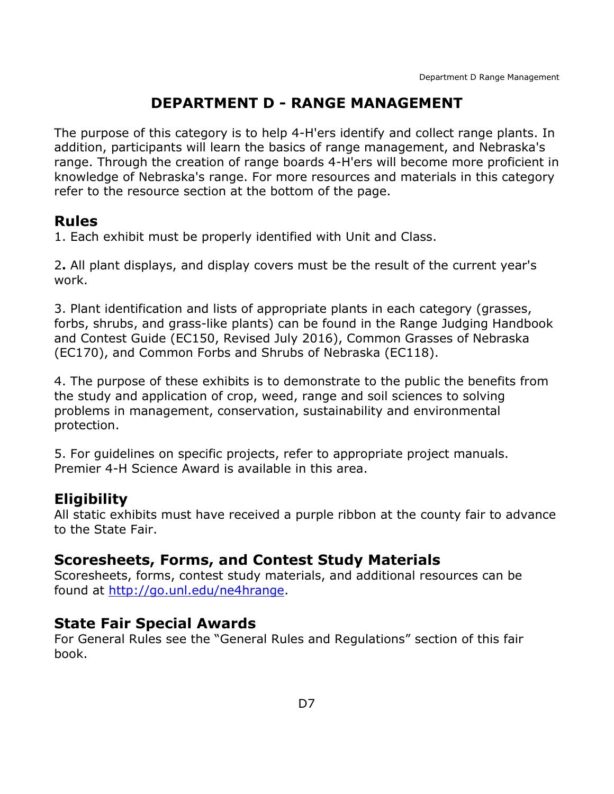# **DEPARTMENT D - RANGE MANAGEMENT**

<span id="page-7-0"></span>The purpose of this category is to help 4-H'ers identify and collect range plants. In addition, participants will learn the basics of range management, and Nebraska's range. Through the creation of range boards 4-H'ers will become more proficient in knowledge of Nebraska's range. For more resources and materials in this category refer to the resource section at the bottom of the page.

### **Rules**

1. Each exhibit must be properly identified with Unit and Class.

2**.** All plant displays, and display covers must be the result of the current year's work.

3. Plant identification and lists of appropriate plants in each category (grasses, forbs, shrubs, and grass-like plants) can be found in the Range Judging Handbook and Contest Guide (EC150, Revised July 2016), Common Grasses of Nebraska (EC170), and Common Forbs and Shrubs of Nebraska (EC118).

4. The purpose of these exhibits is to demonstrate to the public the benefits from the study and application of crop, weed, range and soil sciences to solving problems in management, conservation, sustainability and environmental protection.

5. For guidelines on specific projects, refer to appropriate project manuals. Premier 4-H Science Award is available in this area.

## **Eligibility**

All static exhibits must have received a purple ribbon at the county fair to advance to the State Fair.

## **Scoresheets, Forms, and Contest Study Materials**

Scoresheets, forms, contest study materials, and additional resources can be found at [http://go.unl.edu/ne4hrange.](http://go.unl.edu/ne4hrange)

## **State Fair Special Awards**

For General Rules see the "General Rules and Regulations" section of this fair book.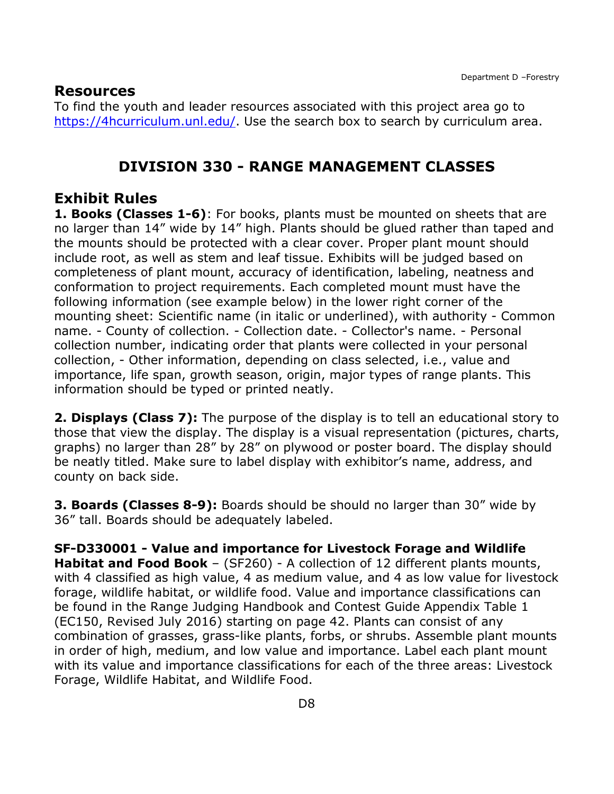#### **Resources**

To find the youth and leader resources associated with this project area go to [https://4hcurriculum.unl.edu/.](https://4hcurriculum.unl.edu/) Use the search box to search by curriculum area.

#### **DIVISION 330 - RANGE MANAGEMENT CLASSES**

### **Exhibit Rules**

**1. Books (Classes 1-6)**: For books, plants must be mounted on sheets that are no larger than 14" wide by 14" high. Plants should be glued rather than taped and the mounts should be protected with a clear cover. Proper plant mount should include root, as well as stem and leaf tissue. Exhibits will be judged based on completeness of plant mount, accuracy of identification, labeling, neatness and conformation to project requirements. Each completed mount must have the following information (see example below) in the lower right corner of the mounting sheet: Scientific name (in italic or underlined), with authority - Common name. - County of collection. - Collection date. - Collector's name. - Personal collection number, indicating order that plants were collected in your personal collection, - Other information, depending on class selected, i.e., value and importance, life span, growth season, origin, major types of range plants. This information should be typed or printed neatly.

**2. Displays (Class 7):** The purpose of the display is to tell an educational story to those that view the display. The display is a visual representation (pictures, charts, graphs) no larger than 28" by 28" on plywood or poster board. The display should be neatly titled. Make sure to label display with exhibitor's name, address, and county on back side.

**3. Boards (Classes 8-9):** Boards should be should no larger than 30" wide by 36" tall. Boards should be adequately labeled.

**SF-D330001 - Value and importance for Livestock Forage and Wildlife Habitat and Food Book** – (SF260) - A collection of 12 different plants mounts, with 4 classified as high value, 4 as medium value, and 4 as low value for livestock forage, wildlife habitat, or wildlife food. Value and importance classifications can be found in the Range Judging Handbook and Contest Guide Appendix Table 1 (EC150, Revised July 2016) starting on page 42. Plants can consist of any combination of grasses, grass-like plants, forbs, or shrubs. Assemble plant mounts in order of high, medium, and low value and importance. Label each plant mount with its value and importance classifications for each of the three areas: Livestock Forage, Wildlife Habitat, and Wildlife Food.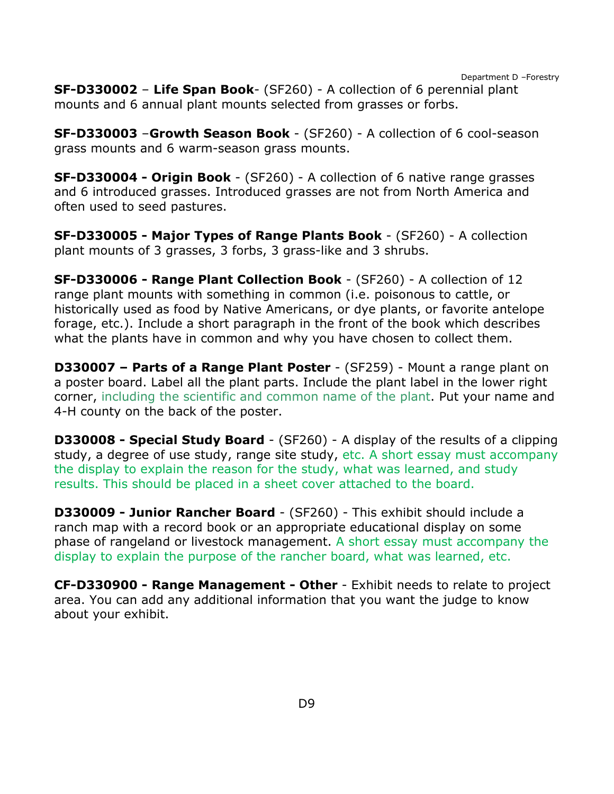Department D –Forestry

**SF-D330002** – **Life Span Book**- (SF260) - A collection of 6 perennial plant mounts and 6 annual plant mounts selected from grasses or forbs.

**SF-D330003** –**Growth Season Book** - (SF260) - A collection of 6 cool-season grass mounts and 6 warm-season grass mounts.

**SF-D330004 - Origin Book** - (SF260) - A collection of 6 native range grasses and 6 introduced grasses. Introduced grasses are not from North America and often used to seed pastures.

**SF-D330005 - Major Types of Range Plants Book** - (SF260) - A collection plant mounts of 3 grasses, 3 forbs, 3 grass-like and 3 shrubs.

**SF-D330006 - Range Plant Collection Book** - (SF260) - A collection of 12 range plant mounts with something in common (i.e. poisonous to cattle, or historically used as food by Native Americans, or dye plants, or favorite antelope forage, etc.). Include a short paragraph in the front of the book which describes what the plants have in common and why you have chosen to collect them.

**D330007 – Parts of a Range Plant Poster** - (SF259) - Mount a range plant on a poster board. Label all the plant parts. Include the plant label in the lower right corner, including the scientific and common name of the plant. Put your name and 4-H county on the back of the poster.

**D330008 - Special Study Board** - (SF260) - A display of the results of a clipping study, a degree of use study, range site study, etc. A short essay must accompany the display to explain the reason for the study, what was learned, and study results. This should be placed in a sheet cover attached to the board.

**D330009 - Junior Rancher Board** - (SF260) - This exhibit should include a ranch map with a record book or an appropriate educational display on some phase of rangeland or livestock management. A short essay must accompany the display to explain the purpose of the rancher board, what was learned, etc.

**CF-D330900 - Range Management - Other** - Exhibit needs to relate to project area. You can add any additional information that you want the judge to know about your exhibit.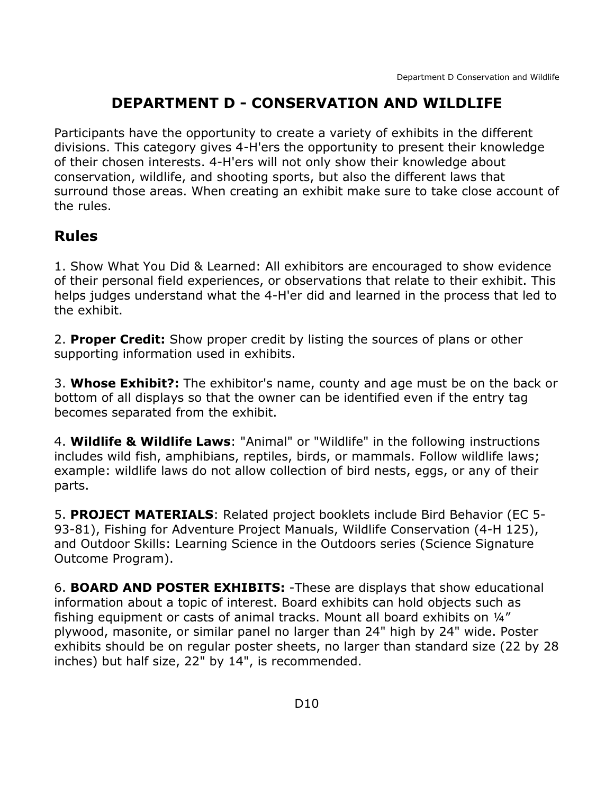# **DEPARTMENT D - CONSERVATION AND WILDLIFE**

<span id="page-10-0"></span>Participants have the opportunity to create a variety of exhibits in the different divisions. This category gives 4-H'ers the opportunity to present their knowledge of their chosen interests. 4-H'ers will not only show their knowledge about conservation, wildlife, and shooting sports, but also the different laws that surround those areas. When creating an exhibit make sure to take close account of the rules.

# **Rules**

1. Show What You Did & Learned: All exhibitors are encouraged to show evidence of their personal field experiences, or observations that relate to their exhibit. This helps judges understand what the 4-H'er did and learned in the process that led to the exhibit.

2. **Proper Credit:** Show proper credit by listing the sources of plans or other supporting information used in exhibits.

3. **Whose Exhibit?:** The exhibitor's name, county and age must be on the back or bottom of all displays so that the owner can be identified even if the entry tag becomes separated from the exhibit.

4. **Wildlife & Wildlife Laws**: "Animal" or "Wildlife" in the following instructions includes wild fish, amphibians, reptiles, birds, or mammals. Follow wildlife laws; example: wildlife laws do not allow collection of bird nests, eggs, or any of their parts.

5. **PROJECT MATERIALS**: Related project booklets include Bird Behavior (EC 5- 93-81), Fishing for Adventure Project Manuals, Wildlife Conservation (4-H 125), and Outdoor Skills: Learning Science in the Outdoors series (Science Signature Outcome Program).

6. **BOARD AND POSTER EXHIBITS:** -These are displays that show educational information about a topic of interest. Board exhibits can hold objects such as fishing equipment or casts of animal tracks. Mount all board exhibits on ¼" plywood, masonite, or similar panel no larger than 24" high by 24" wide. Poster exhibits should be on regular poster sheets, no larger than standard size (22 by 28 inches) but half size, 22" by 14", is recommended.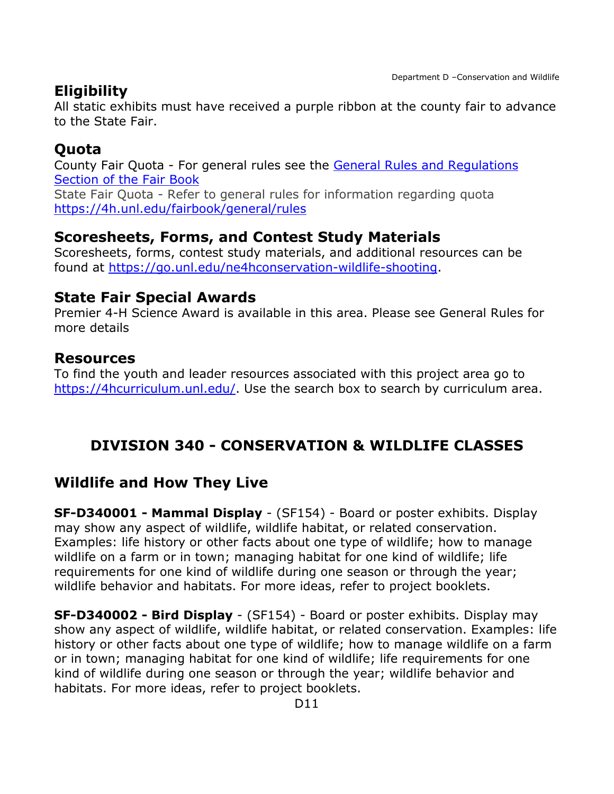# **Eligibility**

All static exhibits must have received a purple ribbon at the county fair to advance to the State Fair.

## **Quota**

County Fair Quota - For general rules see the [General Rules and Regulations](https://unl.box.com/s/e7w1cmzwit0us89x96k1h2gdrs51dsy2)  [Section of the Fair Book](https://unl.box.com/s/e7w1cmzwit0us89x96k1h2gdrs51dsy2) State Fair Quota - Refer to general rules for information regarding quota <https://4h.unl.edu/fairbook/general/rules>

## **Scoresheets, Forms, and Contest Study Materials**

Scoresheets, forms, contest study materials, and additional resources can be found at [https://go.unl.edu/ne4hconservation-wildlife-shooting.](https://go.unl.edu/ne4hconservation-wildlife-shooting)

### **State Fair Special Awards**

Premier 4-H Science Award is available in this area. Please see General Rules for more details

### **Resources**

To find the youth and leader resources associated with this project area go to [https://4hcurriculum.unl.edu/.](https://4hcurriculum.unl.edu/) Use the search box to search by curriculum area.

## <span id="page-11-0"></span>**DIVISION 340 - CONSERVATION & WILDLIFE CLASSES**

## **Wildlife and How They Live**

**SF-D340001 - Mammal Display** - (SF154) - Board or poster exhibits. Display may show any aspect of wildlife, wildlife habitat, or related conservation. Examples: life history or other facts about one type of wildlife; how to manage wildlife on a farm or in town; managing habitat for one kind of wildlife; life requirements for one kind of wildlife during one season or through the year; wildlife behavior and habitats. For more ideas, refer to project booklets.

**SF-D340002 - Bird Display** - (SF154) - Board or poster exhibits. Display may show any aspect of wildlife, wildlife habitat, or related conservation. Examples: life history or other facts about one type of wildlife; how to manage wildlife on a farm or in town; managing habitat for one kind of wildlife; life requirements for one kind of wildlife during one season or through the year; wildlife behavior and habitats. For more ideas, refer to project booklets.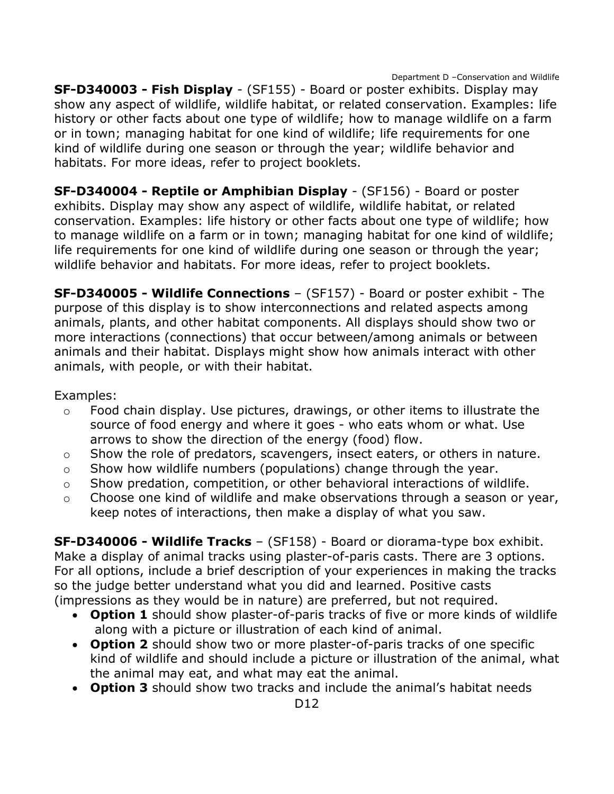Department D –Conservation and Wildlife

**SF-D340003 - Fish Display** - (SF155) - Board or poster exhibits. Display may show any aspect of wildlife, wildlife habitat, or related conservation. Examples: life history or other facts about one type of wildlife; how to manage wildlife on a farm or in town; managing habitat for one kind of wildlife; life requirements for one kind of wildlife during one season or through the year; wildlife behavior and habitats. For more ideas, refer to project booklets.

**SF-D340004 - Reptile or Amphibian Display** - (SF156) - Board or poster exhibits. Display may show any aspect of wildlife, wildlife habitat, or related conservation. Examples: life history or other facts about one type of wildlife; how to manage wildlife on a farm or in town; managing habitat for one kind of wildlife; life requirements for one kind of wildlife during one season or through the year; wildlife behavior and habitats. For more ideas, refer to project booklets.

**SF-D340005 - Wildlife Connections** – (SF157) - Board or poster exhibit - The purpose of this display is to show interconnections and related aspects among animals, plants, and other habitat components. All displays should show two or more interactions (connections) that occur between/among animals or between animals and their habitat. Displays might show how animals interact with other animals, with people, or with their habitat.

#### Examples:

- o Food chain display. Use pictures, drawings, or other items to illustrate the source of food energy and where it goes - who eats whom or what. Use arrows to show the direction of the energy (food) flow.
- o Show the role of predators, scavengers, insect eaters, or others in nature.
- o Show how wildlife numbers (populations) change through the year.
- o Show predation, competition, or other behavioral interactions of wildlife.
- o Choose one kind of wildlife and make observations through a season or year, keep notes of interactions, then make a display of what you saw.

**SF-D340006 - Wildlife Tracks** – (SF158) - Board or diorama-type box exhibit. Make a display of animal tracks using plaster-of-paris casts. There are 3 options. For all options, include a brief description of your experiences in making the tracks so the judge better understand what you did and learned. Positive casts (impressions as they would be in nature) are preferred, but not required.

- **Option 1** should show plaster-of-paris tracks of five or more kinds of wildlife along with a picture or illustration of each kind of animal.
- **Option 2** should show two or more plaster-of-paris tracks of one specific kind of wildlife and should include a picture or illustration of the animal, what the animal may eat, and what may eat the animal.
- **Option 3** should show two tracks and include the animal's habitat needs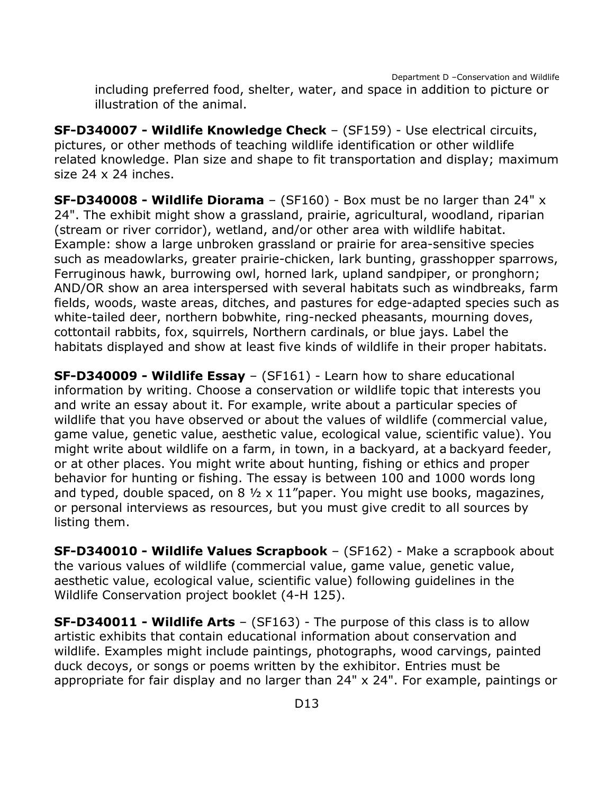Department D –Conservation and Wildlife including preferred food, shelter, water, and space in addition to picture or illustration of the animal.

**SF-D340007 - Wildlife Knowledge Check** – (SF159) - Use electrical circuits, pictures, or other methods of teaching wildlife identification or other wildlife related knowledge. Plan size and shape to fit transportation and display; maximum size 24 x 24 inches.

**SF-D340008 - Wildlife Diorama** – (SF160) - Box must be no larger than 24" x 24". The exhibit might show a grassland, prairie, agricultural, woodland, riparian (stream or river corridor), wetland, and/or other area with wildlife habitat. Example: show a large unbroken grassland or prairie for area-sensitive species such as meadowlarks, greater prairie-chicken, lark bunting, grasshopper sparrows, Ferruginous hawk, burrowing owl, horned lark, upland sandpiper, or pronghorn; AND/OR show an area interspersed with several habitats such as windbreaks, farm fields, woods, waste areas, ditches, and pastures for edge-adapted species such as white-tailed deer, northern bobwhite, ring-necked pheasants, mourning doves, cottontail rabbits, fox, squirrels, Northern cardinals, or blue jays. Label the habitats displayed and show at least five kinds of wildlife in their proper habitats.

**SF-D340009 - Wildlife Essay** – (SF161) - Learn how to share educational information by writing. Choose a conservation or wildlife topic that interests you and write an essay about it. For example, write about a particular species of wildlife that you have observed or about the values of wildlife (commercial value, game value, genetic value, aesthetic value, ecological value, scientific value). You might write about wildlife on a farm, in town, in a backyard, at a backyard feeder, or at other places. You might write about hunting, fishing or ethics and proper behavior for hunting or fishing. The essay is between 100 and 1000 words long and typed, double spaced, on  $8\frac{1}{2} \times 11$ "paper. You might use books, magazines, or personal interviews as resources, but you must give credit to all sources by listing them.

**SF-D340010 - Wildlife Values Scrapbook** – (SF162) - Make a scrapbook about the various values of wildlife (commercial value, game value, genetic value, aesthetic value, ecological value, scientific value) following guidelines in the Wildlife Conservation project booklet (4-H 125).

**SF-D340011 - Wildlife Arts** – (SF163) - The purpose of this class is to allow artistic exhibits that contain educational information about conservation and wildlife. Examples might include paintings, photographs, wood carvings, painted duck decoys, or songs or poems written by the exhibitor. Entries must be appropriate for fair display and no larger than 24" x 24". For example, paintings or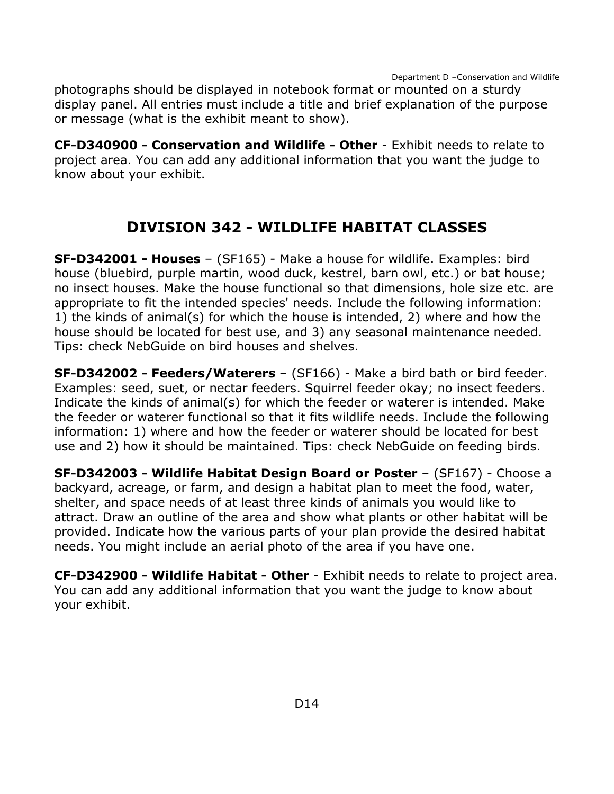Department D –Conservation and Wildlife

photographs should be displayed in notebook format or mounted on a sturdy display panel. All entries must include a title and brief explanation of the purpose or message (what is the exhibit meant to show).

**CF-D340900 - Conservation and Wildlife - Other** - Exhibit needs to relate to project area. You can add any additional information that you want the judge to know about your exhibit.

# **DIVISION 342 - WILDLIFE HABITAT CLASSES**

<span id="page-14-0"></span>**SF-D342001 - Houses** – (SF165) - Make a house for wildlife. Examples: bird house (bluebird, purple martin, wood duck, kestrel, barn owl, etc.) or bat house; no insect houses. Make the house functional so that dimensions, hole size etc. are appropriate to fit the intended species' needs. Include the following information: 1) the kinds of animal(s) for which the house is intended, 2) where and how the house should be located for best use, and 3) any seasonal maintenance needed. Tips: check NebGuide on bird houses and shelves.

**SF-D342002 - Feeders/Waterers** – (SF166) - Make a bird bath or bird feeder. Examples: seed, suet, or nectar feeders. Squirrel feeder okay; no insect feeders. Indicate the kinds of animal(s) for which the feeder or waterer is intended. Make the feeder or waterer functional so that it fits wildlife needs. Include the following information: 1) where and how the feeder or waterer should be located for best use and 2) how it should be maintained. Tips: check NebGuide on feeding birds.

**SF-D342003 - Wildlife Habitat Design Board or Poster** – (SF167) - Choose a backyard, acreage, or farm, and design a habitat plan to meet the food, water, shelter, and space needs of at least three kinds of animals you would like to attract. Draw an outline of the area and show what plants or other habitat will be provided. Indicate how the various parts of your plan provide the desired habitat needs. You might include an aerial photo of the area if you have one.

**CF-D342900 - Wildlife Habitat - Other** - Exhibit needs to relate to project area. You can add any additional information that you want the judge to know about your exhibit.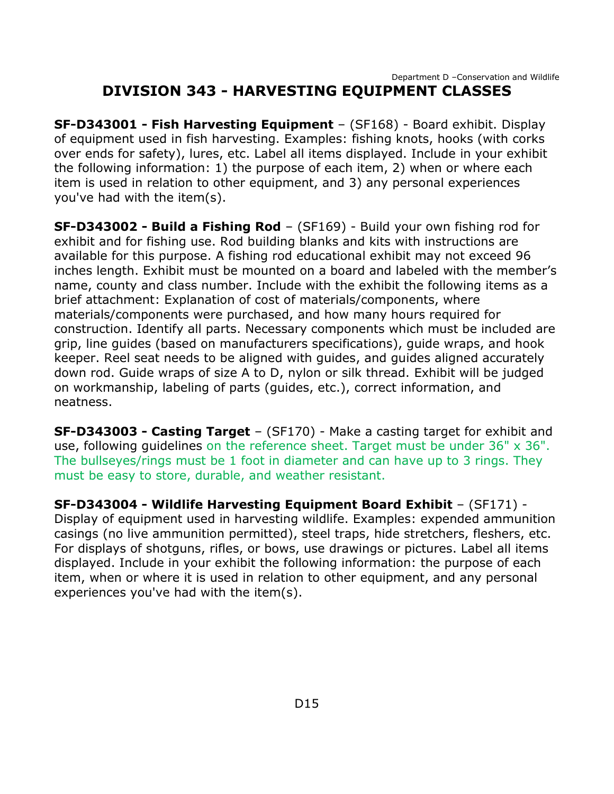#### Department D –Conservation and Wildlife **DIVISION 343 - HARVESTING EQUIPMENT CLASSES**

<span id="page-15-0"></span>**SF-D343001 - Fish Harvesting Equipment** – (SF168) - Board exhibit. Display of equipment used in fish harvesting. Examples: fishing knots, hooks (with corks over ends for safety), lures, etc. Label all items displayed. Include in your exhibit the following information: 1) the purpose of each item, 2) when or where each item is used in relation to other equipment, and 3) any personal experiences you've had with the item(s).

**SF-D343002 - Build a Fishing Rod** – (SF169) - Build your own fishing rod for exhibit and for fishing use. Rod building blanks and kits with instructions are available for this purpose. A fishing rod educational exhibit may not exceed 96 inches length. Exhibit must be mounted on a board and labeled with the member's name, county and class number. Include with the exhibit the following items as a brief attachment: Explanation of cost of materials/components, where materials/components were purchased, and how many hours required for construction. Identify all parts. Necessary components which must be included are grip, line guides (based on manufacturers specifications), guide wraps, and hook keeper. Reel seat needs to be aligned with guides, and guides aligned accurately down rod. Guide wraps of size A to D, nylon or silk thread. Exhibit will be judged on workmanship, labeling of parts (guides, etc.), correct information, and neatness.

**SF-D343003 - Casting Target** – (SF170) - Make a casting target for exhibit and use, following guidelines on the reference sheet. Target must be under 36" x 36". The bullseyes/rings must be 1 foot in diameter and can have up to 3 rings. They must be easy to store, durable, and weather resistant.

**SF-D343004 - Wildlife Harvesting Equipment Board Exhibit** – (SF171) - Display of equipment used in harvesting wildlife. Examples: expended ammunition casings (no live ammunition permitted), steel traps, hide stretchers, fleshers, etc. For displays of shotguns, rifles, or bows, use drawings or pictures. Label all items displayed. Include in your exhibit the following information: the purpose of each item, when or where it is used in relation to other equipment, and any personal experiences you've had with the item(s).